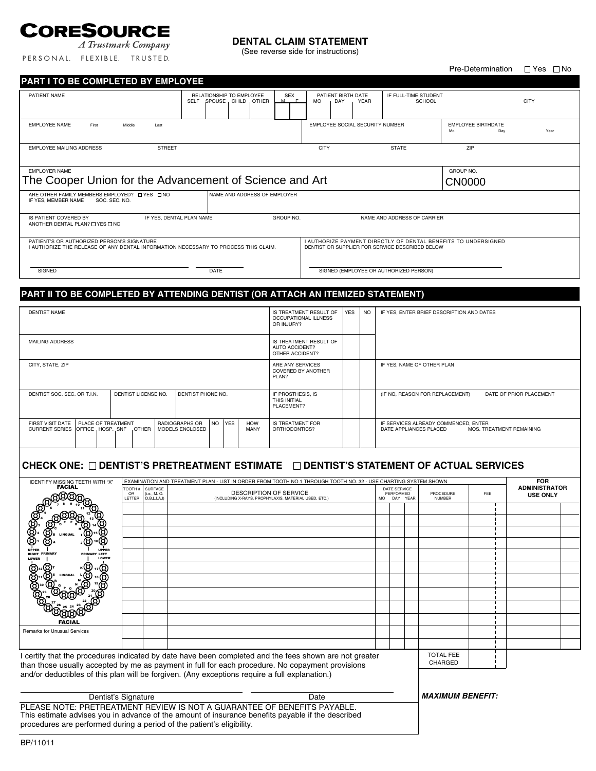# CORESOURCE

#### A Trustmark Company PERSONAL. FLEXIBLE. TRUSTED.

#### **DENTAL CLAIM STATEMENT**

(See reverse side for instructions)

# Pre-Determination  $\Box$  Yes  $\Box$  No PATIENT NAME RELATIONSHIP TO EMPLOYEE SEX PATIENT BIRTH DATE IF FULL-TIME STUDENT SELF SPOUSE CHILD OTHER M F MO DAY YEAR SCHOOL CITY EMPLOYEE NAME First Middle Last Class (EMPLOYEE SOCIAL SECURITY NUMBER MO. EMPLOYEE BIRTHDATE mo. The contract of the contract of the contract of the contract of the contract of the contract of the contract of the contract of the contract of the contract of the contract of the contract of the contract of the contra EMPLOYEE MAILING ADDRESS STREET STATE THE STATE STATE THE STATE STATE THE STATE THE STATE STATE THE STATE STATE EMPLOYER NAME GROUP NO. ARE OTHER FAMILY MEMBERS EMPLOYED? □ YES □ NO NAME AND ADDRESS OF EMPLOYER<br>IF YES, MEMBER NAME SOC. SEC. NO. IS PATIENT COVERED BY IF YES, DENTAL PLAN NAME GROUP NO. NAME AND ADDRESS OF CARRIER ANOTHER DENTAL PLAN? OF YES ONO PATIENT'S OR AUTHORIZED PERSON'S SIGNATURE<br>| AUTHORIZE THE RELEASE OF ANY DENTAL INFORMATION NECESSARY TO PROCESS THIS CLAIM. | DENTIST OR SUPPLIER FOR SERVICE DESCRIBED BELOW | SIGNED SIGNED SIGNED CONTROLLED PERSON) DATE DATE SIGNED (EMPLOYEE OR AUTHORIZED PERSON) **PART I TO BE COMPLETED BY EMPLOYEE** The Cooper Union for the Advancement of Science and Art CN00000

#### **PART II TO BE COMPLETED BY ATTENDING DENTIST (OR ATTACH AN ITEMIZED STATEMENT)**

| <b>DENTIST NAME</b>                                          |                           |                     |                   |                                   |          | IS TREATMENT RESULT OF<br>OCCUPATIONAL ILLNESS<br>OR INJURY? | YES                                             | <b>NO</b>                                                   | IF YES, ENTER BRIEF DESCRIPTION AND DATES |                                                            |                                                                                            |  |  |
|--------------------------------------------------------------|---------------------------|---------------------|-------------------|-----------------------------------|----------|--------------------------------------------------------------|-------------------------------------------------|-------------------------------------------------------------|-------------------------------------------|------------------------------------------------------------|--------------------------------------------------------------------------------------------|--|--|
| MAILING ADDRESS                                              |                           |                     |                   |                                   |          |                                                              |                                                 | IS TREATMENT RESULT OF<br>AUTO ACCIDENT?<br>OTHER ACCIDENT? |                                           |                                                            |                                                                                            |  |  |
| CITY, STATE, ZIP                                             |                           |                     |                   |                                   |          |                                                              |                                                 | ARE ANY SERVICES<br><b>COVERED BY ANOTHER</b><br>PLAN?      |                                           |                                                            | IF YES, NAME OF OTHER PLAN                                                                 |  |  |
| DENTIST SOC. SEC. OR T.I.N.                                  |                           | DENTIST LICENSE NO. | DENTIST PHONE NO. |                                   |          |                                                              | IF PROSTHESIS. IS<br>THIS INITIAL<br>PLACEMENT? |                                                             |                                           | (IF NO, REASON FOR REPLACEMENT)<br>DATE OF PRIOR PLACEMENT |                                                                                            |  |  |
| FIRST VISIT DATE<br>CURRENT SERIES OFFICE, HOSP. SNF . OTHER | <b>PLACE OF TREATMENT</b> |                     |                   | RADIOGRAPHS OR<br>MODELS ENCLOSED | INO IYES |                                                              | <b>HOW</b><br>MANY                              | IS TREATMENT FOR<br>ORTHODONTICS?                           |                                           |                                                            | IF SERVICES ALREADY COMMENCED, ENTER<br>DATE APPLIANCES PLACED<br>MOS. TREATMENT REMAINING |  |  |

### CHECK ONE:  $\square$  DENTIST'S PRETREATMENT ESTIMATE  $\square$  DENTIST'S STATEMENT OF ACTUAL SERVICES

| <b>IDENTIFY MISSING TEETH WITH "X"</b><br><b>FACIAL</b>                                                                                                                                            | <b>TOOTH</b><br>OR<br><b>LETTER</b> | <b>SURFACE</b><br>(i.e., M. O.<br>D, B, L, LA, I) |  | EXAMINATION AND TREATMENT PLAN - LIST IN ORDER FROM TOOTH NO.1 THROUGH TOOTH NO. 32 - USE CHARTING SYSTEM SHOWN<br><b>DESCRIPTION OF SERVICE</b><br>(INCLUDING X-RAYS, PROPHYLAXIS, MATERIAL USED, ETC.) |  | DATE SERVICE<br>PERFORMED<br>MO DAY YEAR |  | PROCEDURE<br><b>NUMBER</b> | FEE | <b>FOR</b><br><b>ADMINISTRATOR</b><br><b>USE ONLY</b> |  |  |
|----------------------------------------------------------------------------------------------------------------------------------------------------------------------------------------------------|-------------------------------------|---------------------------------------------------|--|----------------------------------------------------------------------------------------------------------------------------------------------------------------------------------------------------------|--|------------------------------------------|--|----------------------------|-----|-------------------------------------------------------|--|--|
|                                                                                                                                                                                                    |                                     |                                                   |  |                                                                                                                                                                                                          |  |                                          |  |                            |     |                                                       |  |  |
|                                                                                                                                                                                                    |                                     |                                                   |  |                                                                                                                                                                                                          |  |                                          |  |                            |     |                                                       |  |  |
|                                                                                                                                                                                                    |                                     |                                                   |  |                                                                                                                                                                                                          |  |                                          |  |                            |     |                                                       |  |  |
|                                                                                                                                                                                                    |                                     |                                                   |  |                                                                                                                                                                                                          |  |                                          |  |                            |     |                                                       |  |  |
| LEFT<br>LOWER                                                                                                                                                                                      |                                     |                                                   |  |                                                                                                                                                                                                          |  |                                          |  |                            |     |                                                       |  |  |
| œ<br>g                                                                                                                                                                                             |                                     |                                                   |  |                                                                                                                                                                                                          |  |                                          |  |                            |     |                                                       |  |  |
|                                                                                                                                                                                                    |                                     |                                                   |  |                                                                                                                                                                                                          |  |                                          |  |                            |     |                                                       |  |  |
|                                                                                                                                                                                                    |                                     |                                                   |  |                                                                                                                                                                                                          |  |                                          |  |                            |     |                                                       |  |  |
|                                                                                                                                                                                                    |                                     |                                                   |  |                                                                                                                                                                                                          |  |                                          |  |                            |     |                                                       |  |  |
| FACIAI                                                                                                                                                                                             |                                     |                                                   |  |                                                                                                                                                                                                          |  |                                          |  |                            |     |                                                       |  |  |
| Remarks for Unusual Services                                                                                                                                                                       |                                     |                                                   |  |                                                                                                                                                                                                          |  |                                          |  |                            |     |                                                       |  |  |
|                                                                                                                                                                                                    |                                     |                                                   |  |                                                                                                                                                                                                          |  |                                          |  |                            |     |                                                       |  |  |
| I certify that the procedures indicated by date have been completed and the fees shown are not greater                                                                                             |                                     |                                                   |  |                                                                                                                                                                                                          |  |                                          |  |                            |     |                                                       |  |  |
| than those usually accepted by me as payment in full for each procedure. No copayment provisions<br>and/or deductibles of this plan will be forgiven. (Any exceptions require a full explanation.) |                                     |                                                   |  |                                                                                                                                                                                                          |  |                                          |  |                            |     |                                                       |  |  |
|                                                                                                                                                                                                    |                                     |                                                   |  |                                                                                                                                                                                                          |  |                                          |  |                            |     |                                                       |  |  |
| Dentist's Signature<br>Date                                                                                                                                                                        |                                     |                                                   |  |                                                                                                                                                                                                          |  |                                          |  | <b>MAXIMUM BENEFIT:</b>    |     |                                                       |  |  |
| PLEASE NOTE: PRETREATMENT REVIEW IS NOT A GUARANTEE OF BENEFITS PAYABLE.                                                                                                                           |                                     |                                                   |  |                                                                                                                                                                                                          |  |                                          |  |                            |     |                                                       |  |  |
| This estimate advises you in advance of the amount of insurance benefits payable if the described<br>procedures are performed during a period of the patient's eligibility.                        |                                     |                                                   |  |                                                                                                                                                                                                          |  |                                          |  |                            |     |                                                       |  |  |
|                                                                                                                                                                                                    |                                     |                                                   |  |                                                                                                                                                                                                          |  |                                          |  |                            |     |                                                       |  |  |